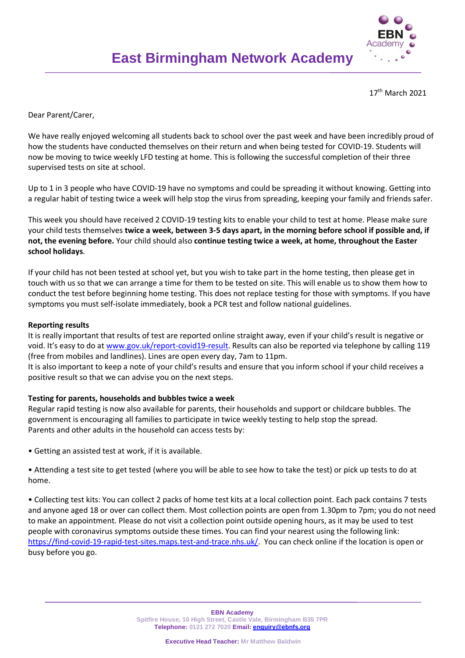

17th March 2021

Dear Parent/Carer,

We have really enjoyed welcoming all students back to school over the past week and have been incredibly proud of how the students have conducted themselves on their return and when being tested for COVID-19. Students will now be moving to twice weekly LFD testing at home. This is following the successful completion of their three supervised tests on site at school.

Up to 1 in 3 people who have COVID-19 have no symptoms and could be spreading it without knowing. Getting into a regular habit of testing twice a week will help stop the virus from spreading, keeping your family and friends safer.

This week you should have received 2 COVID-19 testing kits to enable your child to test at home. Please make sure your child tests themselves **twice a week, between 3-5 days apart, in the morning before school if possible and, if not, the evening before.** Your child should also **continue testing twice a week, at home, throughout the Easter school holidays**.

If your child has not been tested at school yet, but you wish to take part in the home testing, then please get in touch with us so that we can arrange a time for them to be tested on site. This will enable us to show them how to conduct the test before beginning home testing. This does not replace testing for those with symptoms. If you have symptoms you must self-isolate immediately, book a PCR test and follow national guidelines.

## **Reporting results**

It is really important that results of test are reported online straight away, even if your child's result is negative or void. It's easy to do at [www.gov.uk/report-covid19-result.](http://www.gov.uk/report-covid19-result) Results can also be reported via telephone by calling 119 (free from mobiles and landlines). Lines are open every day, 7am to 11pm.

It is also important to keep a note of your child's results and ensure that you inform school if your child receives a positive result so that we can advise you on the next steps.

## **Testing for parents, households and bubbles twice a week**

Regular rapid testing is now also available for parents, their households and support or childcare bubbles. The government is encouraging all families to participate in twice weekly testing to help stop the spread. Parents and other adults in the household can access tests by:

• Getting an assisted test at work, if it is available.

• Attending a test site to get tested (where you will be able to see how to take the test) or pick up tests to do at home.

• Collecting test kits: You can collect 2 packs of home test kits at a local collection point. Each pack contains 7 tests and anyone aged 18 or over can collect them. Most collection points are open from 1.30pm to 7pm; you do not need to make an appointment. Please do not visit a collection point outside opening hours, as it may be used to test people with coronavirus symptoms outside these times. You can find your nearest using the following link: [https://find-covid-19-rapid-test-sites.maps.test-and-trace.nhs.uk/.](https://find-covid-19-rapid-test-sites.maps.test-and-trace.nhs.uk/) You can check online if the location is open or busy before you go.